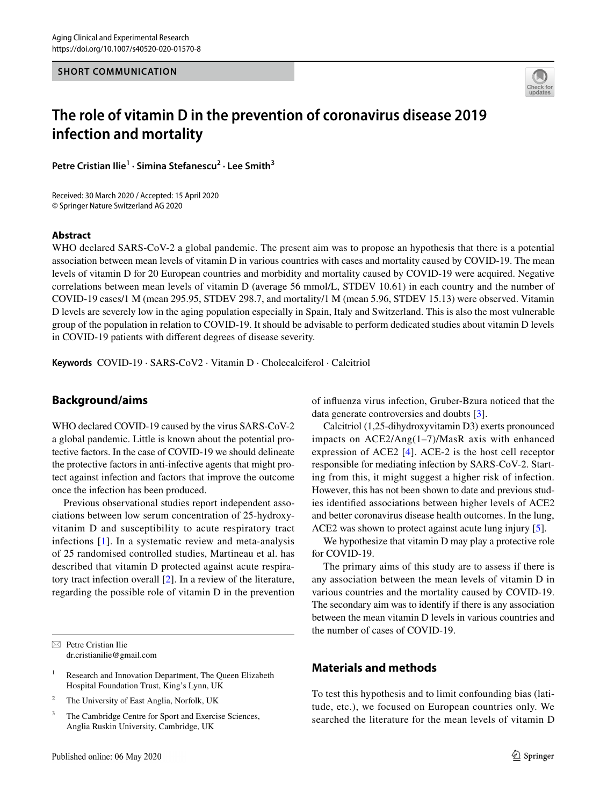#### **SHORT COMMUNICATION**



# **The role of vitamin D in the prevention of coronavirus disease 2019 infection and mortality**

Petre Cristian Ilie<sup>1</sup> · Simina Stefanescu<sup>2</sup> · Lee Smith<sup>3</sup>

Received: 30 March 2020 / Accepted: 15 April 2020 © Springer Nature Switzerland AG 2020

#### **Abstract**

WHO declared SARS-CoV-2 a global pandemic. The present aim was to propose an hypothesis that there is a potential association between mean levels of vitamin D in various countries with cases and mortality caused by COVID-19. The mean levels of vitamin D for 20 European countries and morbidity and mortality caused by COVID-19 were acquired. Negative correlations between mean levels of vitamin D (average 56 mmol/L, STDEV 10.61) in each country and the number of COVID-19 cases/1 M (mean 295.95, STDEV 298.7, and mortality/1 M (mean 5.96, STDEV 15.13) were observed. Vitamin D levels are severely low in the aging population especially in Spain, Italy and Switzerland. This is also the most vulnerable group of the population in relation to COVID-19. It should be advisable to perform dedicated studies about vitamin D levels in COVID-19 patients with diferent degrees of disease severity.

**Keywords** COVID-19 · SARS-CoV2 · Vitamin D · Cholecalciferol · Calcitriol

## **Background/aims**

WHO declared COVID-19 caused by the virus SARS-CoV-2 a global pandemic. Little is known about the potential protective factors. In the case of COVID-19 we should delineate the protective factors in anti-infective agents that might protect against infection and factors that improve the outcome once the infection has been produced.

Previous observational studies report independent associations between low serum concentration of 25-hydroxyvitanim D and susceptibility to acute respiratory tract infections [[1](#page-3-0)]. In a systematic review and meta-analysis of 25 randomised controlled studies, Martineau et al. has described that vitamin D protected against acute respiratory tract infection overall [[2\]](#page-3-1). In a review of the literature, regarding the possible role of vitamin D in the prevention

 $\boxtimes$  Petre Cristian Ilie dr.cristianilie@gmail.com

<sup>1</sup> Research and Innovation Department, The Queen Elizabeth Hospital Foundation Trust, King's Lynn, UK

<sup>2</sup> The University of East Anglia, Norfolk, UK

<sup>3</sup> The Cambridge Centre for Sport and Exercise Sciences, Anglia Ruskin University, Cambridge, UK

of infuenza virus infection, Gruber-Bzura noticed that the data generate controversies and doubts [[3\]](#page-3-2).

Calcitriol (1,25-dihydroxyvitamin D3) exerts pronounced impacts on ACE2/Ang(1–7)/MasR axis with enhanced expression of ACE2 [[4](#page-3-3)]. ACE-2 is the host cell receptor responsible for mediating infection by SARS-CoV-2. Starting from this, it might suggest a higher risk of infection. However, this has not been shown to date and previous studies identifed associations between higher levels of ACE2 and better coronavirus disease health outcomes. In the lung, ACE2 was shown to protect against acute lung injury [[5\]](#page-3-4).

We hypothesize that vitamin D may play a protective role for COVID-19.

The primary aims of this study are to assess if there is any association between the mean levels of vitamin D in various countries and the mortality caused by COVID-19. The secondary aim was to identify if there is any association between the mean vitamin D levels in various countries and the number of cases of COVID-19.

# **Materials and methods**

To test this hypothesis and to limit confounding bias (latitude, etc.), we focused on European countries only. We searched the literature for the mean levels of vitamin D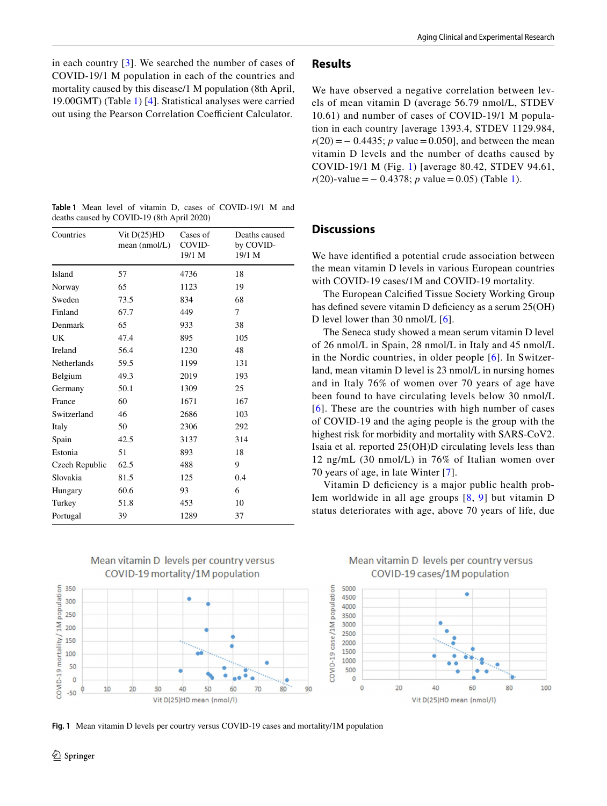in each country [[3\]](#page-3-2). We searched the number of cases of COVID-19/1 M population in each of the countries and mortality caused by this disease/1 M population (8th April, 19.00GMT) (Table [1](#page-1-0)) [\[4](#page-3-3)]. Statistical analyses were carried out using the Pearson Correlation Coefficient Calculator.

<span id="page-1-0"></span>

|  |  |                                            |  | <b>Table 1</b> Mean level of vitamin D, cases of COVID-19/1 M and |  |
|--|--|--------------------------------------------|--|-------------------------------------------------------------------|--|
|  |  | deaths caused by COVID-19 (8th April 2020) |  |                                                                   |  |

| Countries          | Vit $D(25)HD$<br>mean (nmol/L) | Cases of<br>COVID-<br>19/1 M | Deaths caused<br>by COVID-<br>19/1 M |
|--------------------|--------------------------------|------------------------------|--------------------------------------|
| Island             | 57                             | 4736                         | 18                                   |
| Norway             | 65                             | 1123                         | 19                                   |
| Sweden             | 73.5                           | 834                          | 68                                   |
| Finland            | 67.7                           | 449                          | 7                                    |
| Denmark            | 65                             | 933                          | 38                                   |
| UK.                | 47.4                           | 895                          | 105                                  |
| <b>Ireland</b>     | 56.4                           | 1230                         | 48                                   |
| <b>Netherlands</b> | 59.5                           | 1199                         | 131                                  |
| Belgium            | 49.3                           | 2019                         | 193                                  |
| Germany            | 50.1                           | 1309                         | 25                                   |
| France             | 60                             | 1671                         | 167                                  |
| Switzerland        | 46                             | 2686                         | 103                                  |
| Italy              | 50                             | 2306                         | 292                                  |
| Spain              | 42.5                           | 3137                         | 314                                  |
| Estonia            | 51                             | 893                          | 18                                   |
| Czech Republic     | 62.5                           | 488                          | 9                                    |
| Slovakia           | 81.5                           | 125                          | 0.4                                  |
| Hungary            | 60.6                           | 93                           | 6                                    |
| Turkey             | 51.8                           | 453                          | 10                                   |
| Portugal           | 39                             | 1289                         | 37                                   |



<span id="page-1-1"></span>

## **Results**

We have observed a negative correlation between levels of mean vitamin D (average 56.79 nmol/L, STDEV 10.61) and number of cases of COVID-19/1 M population in each country [average 1393.4, STDEV 1129.984,  $r(20) = -0.4435$ ; *p* value = 0.050], and between the mean vitamin D levels and the number of deaths caused by COVID-19/1 M (Fig. [1\)](#page-1-1) [average 80.42, STDEV 94.61, *r*(20)-value = − 0.4378; *p* value = 0.05) (Table [1](#page-1-0)).

### **Discussions**

We have identifed a potential crude association between the mean vitamin D levels in various European countries with COVID-19 cases/1M and COVID-19 mortality.

The European Calcifed Tissue Society Working Group has defined severe vitamin D deficiency as a serum  $25(OH)$ D level lower than 30 nmol/L [[6\]](#page-3-5).

The Seneca study showed a mean serum vitamin D level of 26 nmol/L in Spain, 28 nmol/L in Italy and 45 nmol/L in the Nordic countries, in older people [[6](#page-3-5)]. In Switzerland, mean vitamin D level is 23 nmol/L in nursing homes and in Italy 76% of women over 70 years of age have been found to have circulating levels below 30 nmol/L [[6](#page-3-5)]. These are the countries with high number of cases of COVID-19 and the aging people is the group with the highest risk for morbidity and mortality with SARS-CoV2. Isaia et al. reported 25(OH)D circulating levels less than 12 ng/mL (30 nmol/L) in 76% of Italian women over 70 years of age, in late Winter [[7\]](#page-3-6).

Vitamin D defciency is a major public health problem worldwide in all age groups [[8](#page-3-7), [9](#page-3-8)] but vitamin D status deteriorates with age, above 70 years of life, due

## Mean vitamin D levels per country versus COVID-19 cases/1M population

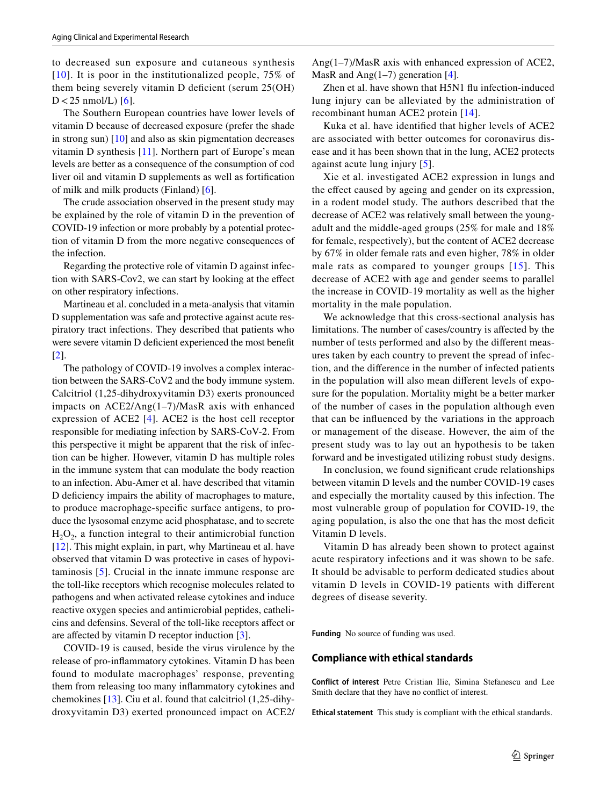to decreased sun exposure and cutaneous synthesis [[10](#page-3-9)]. It is poor in the institutionalized people, 75% of them being severely vitamin D deficient (serum 25(OH)  $D < 25$  nmol/L) [\[6\]](#page-3-5).

The Southern European countries have lower levels of vitamin D because of decreased exposure (prefer the shade in strong sun) [\[10](#page-3-9)] and also as skin pigmentation decreases vitamin D synthesis [[11](#page-3-10)]. Northern part of Europe's mean levels are better as a consequence of the consumption of cod liver oil and vitamin D supplements as well as fortifcation of milk and milk products (Finland) [\[6\]](#page-3-5).

The crude association observed in the present study may be explained by the role of vitamin D in the prevention of COVID-19 infection or more probably by a potential protection of vitamin D from the more negative consequences of the infection.

Regarding the protective role of vitamin D against infection with SARS-Cov2, we can start by looking at the efect on other respiratory infections.

Martineau et al. concluded in a meta-analysis that vitamin D supplementation was safe and protective against acute respiratory tract infections. They described that patients who were severe vitamin D deficient experienced the most benefit [\[2](#page-3-1)].

The pathology of COVID-19 involves a complex interaction between the SARS-CoV2 and the body immune system. Calcitriol (1,25-dihydroxyvitamin D3) exerts pronounced impacts on ACE2/Ang(1–7)/MasR axis with enhanced expression of ACE2 [[4](#page-3-3)]. ACE2 is the host cell receptor responsible for mediating infection by SARS-CoV-2. From this perspective it might be apparent that the risk of infection can be higher. However, vitamin D has multiple roles in the immune system that can modulate the body reaction to an infection. Abu-Amer et al. have described that vitamin D deficiency impairs the ability of macrophages to mature, to produce macrophage-specifc surface antigens, to produce the lysosomal enzyme acid phosphatase, and to secrete  $H_2O_2$ , a function integral to their antimicrobial function [\[12\]](#page-3-11). This might explain, in part, why Martineau et al. have observed that vitamin D was protective in cases of hypovitaminosis [\[5](#page-3-4)]. Crucial in the innate immune response are the toll-like receptors which recognise molecules related to pathogens and when activated release cytokines and induce reactive oxygen species and antimicrobial peptides, cathelicins and defensins. Several of the toll-like receptors afect or are afected by vitamin D receptor induction [\[3](#page-3-2)].

COVID-19 is caused, beside the virus virulence by the release of pro-infammatory cytokines. Vitamin D has been found to modulate macrophages' response, preventing them from releasing too many infammatory cytokines and chemokines [[13\]](#page-3-12). Ciu et al. found that calcitriol (1,25-dihydroxyvitamin D3) exerted pronounced impact on ACE2/ Ang(1–7)/MasR axis with enhanced expression of ACE2, MasR and Ang $(1-7)$  generation [[4\]](#page-3-3).

Zhen et al. have shown that H5N1 fu infection-induced lung injury can be alleviated by the administration of recombinant human ACE2 protein [[14\]](#page-3-13).

Kuka et al. have identifed that higher levels of ACE2 are associated with better outcomes for coronavirus disease and it has been shown that in the lung, ACE2 protects against acute lung injury [\[5](#page-3-4)].

Xie et al. investigated ACE2 expression in lungs and the efect caused by ageing and gender on its expression, in a rodent model study. The authors described that the decrease of ACE2 was relatively small between the youngadult and the middle-aged groups (25% for male and 18% for female, respectively), but the content of ACE2 decrease by 67% in older female rats and even higher, 78% in older male rats as compared to younger groups [[15](#page-3-14)]. This decrease of ACE2 with age and gender seems to parallel the increase in COVID-19 mortality as well as the higher mortality in the male population.

We acknowledge that this cross-sectional analysis has limitations. The number of cases/country is afected by the number of tests performed and also by the diferent measures taken by each country to prevent the spread of infection, and the diference in the number of infected patients in the population will also mean diferent levels of exposure for the population. Mortality might be a better marker of the number of cases in the population although even that can be infuenced by the variations in the approach or management of the disease. However, the aim of the present study was to lay out an hypothesis to be taken forward and be investigated utilizing robust study designs.

In conclusion, we found signifcant crude relationships between vitamin D levels and the number COVID-19 cases and especially the mortality caused by this infection. The most vulnerable group of population for COVID-19, the aging population, is also the one that has the most deficit Vitamin D levels.

Vitamin D has already been shown to protect against acute respiratory infections and it was shown to be safe. It should be advisable to perform dedicated studies about vitamin D levels in COVID-19 patients with diferent degrees of disease severity.

**Funding** No source of funding was used.

#### **Compliance with ethical standards**

**Conflict of interest** Petre Cristian Ilie, Simina Stefanescu and Lee Smith declare that they have no confict of interest.

**Ethical statement** This study is compliant with the ethical standards.